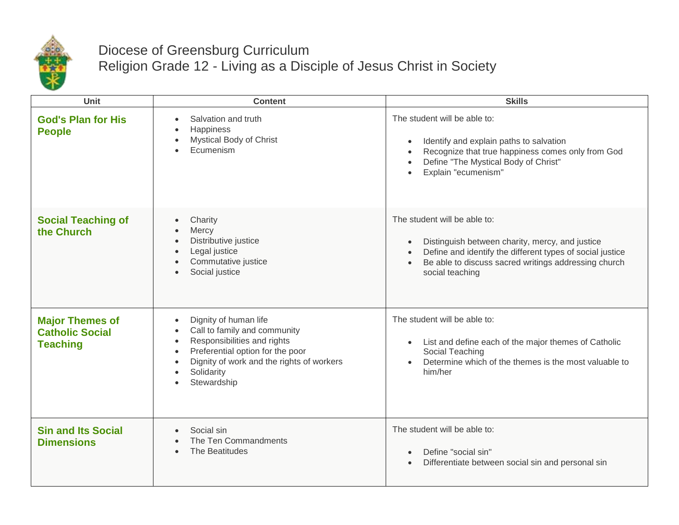

## Diocese of Greensburg Curriculum Religion Grade 12 - Living as a Disciple of Jesus Christ in Society

| Unit                                                                | <b>Content</b>                                                                                                                                                                                                                                                      | <b>Skills</b>                                                                                                                                                                                                                        |
|---------------------------------------------------------------------|---------------------------------------------------------------------------------------------------------------------------------------------------------------------------------------------------------------------------------------------------------------------|--------------------------------------------------------------------------------------------------------------------------------------------------------------------------------------------------------------------------------------|
| <b>God's Plan for His</b><br><b>People</b>                          | Salvation and truth<br><b>Happiness</b><br>Mystical Body of Christ<br>$\bullet$<br>Ecumenism                                                                                                                                                                        | The student will be able to:<br>Identify and explain paths to salvation<br>Recognize that true happiness comes only from God<br>Define "The Mystical Body of Christ"<br>Explain "ecumenism"                                          |
| <b>Social Teaching of</b><br>the Church                             | Charity<br>$\bullet$<br>Mercy<br>Distributive justice<br>$\bullet$<br>Legal justice<br>$\bullet$<br>Commutative justice<br>Social justice                                                                                                                           | The student will be able to:<br>Distinguish between charity, mercy, and justice<br>$\bullet$<br>Define and identify the different types of social justice<br>Be able to discuss sacred writings addressing church<br>social teaching |
| <b>Major Themes of</b><br><b>Catholic Social</b><br><b>Teaching</b> | Dignity of human life<br>$\bullet$<br>Call to family and community<br>$\bullet$<br>Responsibilities and rights<br>$\bullet$<br>Preferential option for the poor<br>$\bullet$<br>Dignity of work and the rights of workers<br>$\bullet$<br>Solidarity<br>Stewardship | The student will be able to:<br>List and define each of the major themes of Catholic<br>$\bullet$<br>Social Teaching<br>Determine which of the themes is the most valuable to<br>him/her                                             |
| <b>Sin and Its Social</b><br><b>Dimensions</b>                      | Social sin<br>The Ten Commandments<br>The Beatitudes                                                                                                                                                                                                                | The student will be able to:<br>Define "social sin"<br>Differentiate between social sin and personal sin                                                                                                                             |